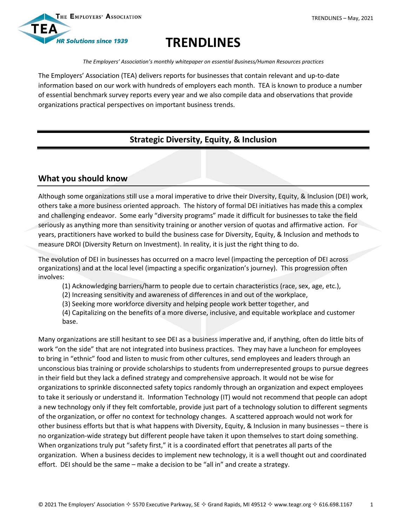



# **TRENDLINES**

*The Employers' Association's monthly whitepaper on essential Business/Human Resources practices*

The Employers' Association (TEA) delivers reports for businesses that contain relevant and up-to-date information based on our work with hundreds of employers each month. TEA is known to produce a number of essential benchmark survey reports every year and we also compile data and observations that provide organizations practical perspectives on important business trends.

# **Strategic Diversity, Equity, & Inclusion**

# **What you should know**

Although some organizations still use a moral imperative to drive their Diversity, Equity, & Inclusion (DEI) work, others take a more business oriented approach. The history of formal DEI initiatives has made this a complex and challenging endeavor. Some early "diversity programs" made it difficult for businesses to take the field seriously as anything more than sensitivity training or another version of quotas and affirmative action. For years, practitioners have worked to build the business case for Diversity, Equity, & Inclusion and methods to measure DROI (Diversity Return on Investment). In reality, it is just the right thing to do.

The evolution of DEI in businesses has occurred on a macro level (impacting the perception of DEI across organizations) and at the local level (impacting a specific organization's journey). This progression often involves:

(1) Acknowledging barriers/harm to people due to certain characteristics (race, sex, age, etc.),

(2) Increasing sensitivity and awareness of differences in and out of the workplace,

(3) Seeking more workforce diversity and helping people work better together, and

(4) Capitalizing on the benefits of a more diverse, inclusive, and equitable workplace and customer base.

Many organizations are still hesitant to see DEI as a business imperative and, if anything, often do little bits of work "on the side" that are not integrated into business practices. They may have a luncheon for employees to bring in "ethnic" food and listen to music from other cultures, send employees and leaders through an unconscious bias training or provide scholarships to students from underrepresented groups to pursue degrees in their field but they lack a defined strategy and comprehensive approach. It would not be wise for organizations to sprinkle disconnected safety topics randomly through an organization and expect employees to take it seriously or understand it. Information Technology (IT) would not recommend that people can adopt a new technology only if they felt comfortable, provide just part of a technology solution to different segments of the organization, or offer no context for technology changes. A scattered approach would not work for other business efforts but that is what happens with Diversity, Equity, & Inclusion in many businesses – there is no organization-wide strategy but different people have taken it upon themselves to start doing something. When organizations truly put "safety first," it is a coordinated effort that penetrates all parts of the organization. When a business decides to implement new technology, it is a well thought out and coordinated effort. DEI should be the same – make a decision to be "all in" and create a strategy.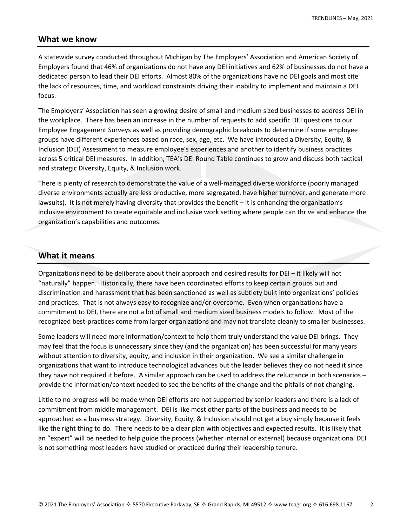### **What we know**

A statewide survey conducted throughout Michigan by The Employers' Association and American Society of Employers found that 46% of organizations do not have any DEI initiatives and 62% of businesses do not have a dedicated person to lead their DEI efforts. Almost 80% of the organizations have no DEI goals and most cite the lack of resources, time, and workload constraints driving their inability to implement and maintain a DEI focus.

The Employers' Association has seen a growing desire of small and medium sized businesses to address DEI in the workplace. There has been an increase in the number of requests to add specific DEI questions to our Employee Engagement Surveys as well as providing demographic breakouts to determine if some employee groups have different experiences based on race, sex, age, etc. We have introduced a Diversity, Equity, & Inclusion (DEI) Assessment to measure employee's experiences and another to identify business practices across 5 critical DEI measures. In addition, TEA's DEI Round Table continues to grow and discuss both tactical and strategic Diversity, Equity, & Inclusion work.

There is plenty of research to demonstrate the value of a well-managed diverse workforce (poorly managed diverse environments actually are less productive, more segregated, have higher turnover, and generate more lawsuits). It is not merely having diversity that provides the benefit – it is enhancing the organization's inclusive environment to create equitable and inclusive work setting where people can thrive and enhance the organization's capabilities and outcomes.

## **What it means**

Organizations need to be deliberate about their approach and desired results for DEI – it likely will not "naturally" happen. Historically, there have been coordinated efforts to keep certain groups out and discrimination and harassment that has been sanctioned as well as subtlety built into organizations' policies and practices. That is not always easy to recognize and/or overcome. Even when organizations have a commitment to DEI, there are not a lot of small and medium sized business models to follow. Most of the recognized best-practices come from larger organizations and may not translate cleanly to smaller businesses.

Some leaders will need more information/context to help them truly understand the value DEI brings. They may feel that the focus is unnecessary since they (and the organization) has been successful for many years without attention to diversity, equity, and inclusion in their organization. We see a similar challenge in organizations that want to introduce technological advances but the leader believes they do not need it since they have not required it before. A similar approach can be used to address the reluctance in both scenarios – provide the information/context needed to see the benefits of the change and the pitfalls of not changing.

Little to no progress will be made when DEI efforts are not supported by senior leaders and there is a lack of commitment from middle management. DEI is like most other parts of the business and needs to be approached as a business strategy. Diversity, Equity, & Inclusion should not get a buy simply because it feels like the right thing to do. There needs to be a clear plan with objectives and expected results. It is likely that an "expert" will be needed to help guide the process (whether internal or external) because organizational DEI is not something most leaders have studied or practiced during their leadership tenure.